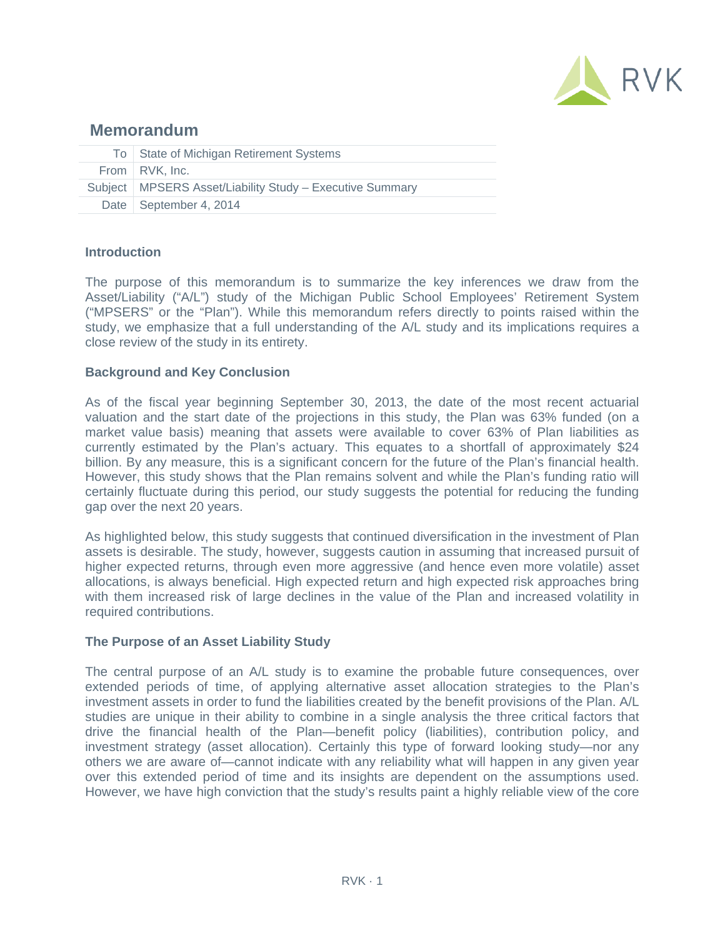

# **Memorandum**

| To State of Michigan Retirement Systems                    |
|------------------------------------------------------------|
| From RVK, Inc.                                             |
| Subject   MPSERS Asset/Liability Study - Executive Summary |
| Date   September 4, 2014                                   |

# **Introduction**

The purpose of this memorandum is to summarize the key inferences we draw from the Asset/Liability ("A/L") study of the Michigan Public School Employees' Retirement System ("MPSERS" or the "Plan"). While this memorandum refers directly to points raised within the study, we emphasize that a full understanding of the A/L study and its implications requires a close review of the study in its entirety.

# **Background and Key Conclusion**

As of the fiscal year beginning September 30, 2013, the date of the most recent actuarial valuation and the start date of the projections in this study, the Plan was 63% funded (on a market value basis) meaning that assets were available to cover 63% of Plan liabilities as currently estimated by the Plan's actuary. This equates to a shortfall of approximately \$24 billion. By any measure, this is a significant concern for the future of the Plan's financial health. However, this study shows that the Plan remains solvent and while the Plan's funding ratio will certainly fluctuate during this period, our study suggests the potential for reducing the funding gap over the next 20 years.

As highlighted below, this study suggests that continued diversification in the investment of Plan assets is desirable. The study, however, suggests caution in assuming that increased pursuit of higher expected returns, through even more aggressive (and hence even more volatile) asset allocations, is always beneficial. High expected return and high expected risk approaches bring with them increased risk of large declines in the value of the Plan and increased volatility in required contributions.

### **The Purpose of an Asset Liability Study**

The central purpose of an A/L study is to examine the probable future consequences, over extended periods of time, of applying alternative asset allocation strategies to the Plan's investment assets in order to fund the liabilities created by the benefit provisions of the Plan. A/L studies are unique in their ability to combine in a single analysis the three critical factors that drive the financial health of the Plan—benefit policy (liabilities), contribution policy, and investment strategy (asset allocation). Certainly this type of forward looking study—nor any others we are aware of—cannot indicate with any reliability what will happen in any given year over this extended period of time and its insights are dependent on the assumptions used. However, we have high conviction that the study's results paint a highly reliable view of the core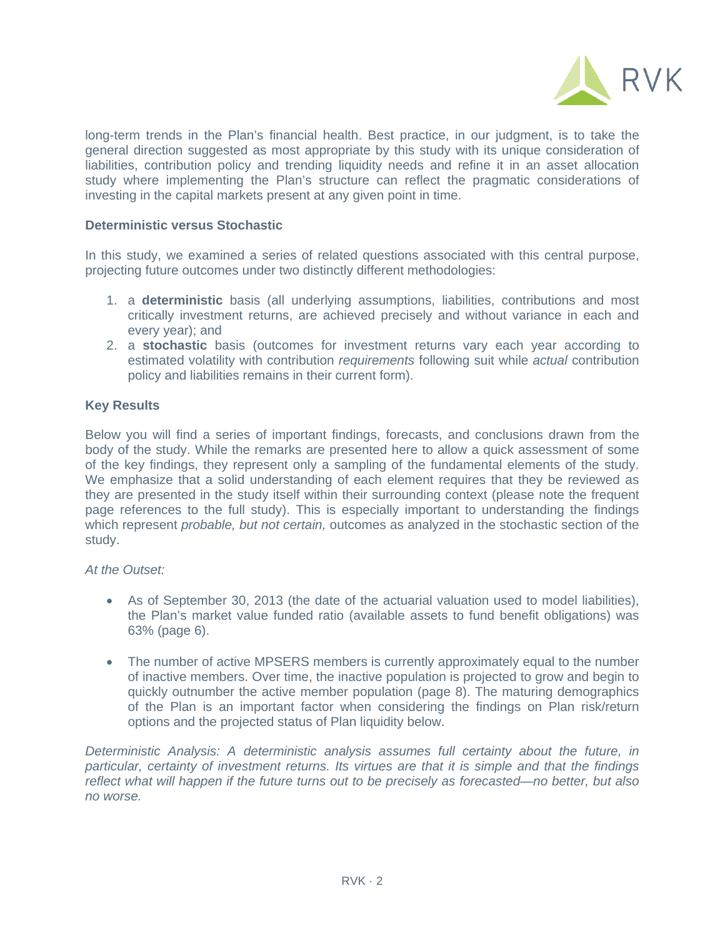

long-term trends in the Plan's financial health. Best practice, in our judgment, is to take the general direction suggested as most appropriate by this study with its unique consideration of liabilities, contribution policy and trending liquidity needs and refine it in an asset allocation study where implementing the Plan's structure can reflect the pragmatic considerations of investing in the capital markets present at any given point in time.

## **Deterministic versus Stochastic**

In this study, we examined a series of related questions associated with this central purpose, projecting future outcomes under two distinctly different methodologies:

- 1. a **deterministic** basis (all underlying assumptions, liabilities, contributions and most critically investment returns, are achieved precisely and without variance in each and every year); and
- 2. a **stochastic** basis (outcomes for investment returns vary each year according to estimated volatility with contribution *requirements* following suit while *actual* contribution policy and liabilities remains in their current form).

# **Key Results**

Below you will find a series of important findings, forecasts, and conclusions drawn from the body of the study. While the remarks are presented here to allow a quick assessment of some of the key findings, they represent only a sampling of the fundamental elements of the study. We emphasize that a solid understanding of each element requires that they be reviewed as they are presented in the study itself within their surrounding context (please note the frequent page references to the full study). This is especially important to understanding the findings which represent *probable, but not certain,* outcomes as analyzed in the stochastic section of the study.

### *At the Outset:*

- As of September 30, 2013 (the date of the actuarial valuation used to model liabilities), the Plan's market value funded ratio (available assets to fund benefit obligations) was 63% (page 6).
- The number of active MPSERS members is currently approximately equal to the number of inactive members. Over time, the inactive population is projected to grow and begin to quickly outnumber the active member population (page 8). The maturing demographics of the Plan is an important factor when considering the findings on Plan risk/return options and the projected status of Plan liquidity below.

*Deterministic Analysis: A deterministic analysis assumes full certainty about the future, in particular, certainty of investment returns. Its virtues are that it is simple and that the findings reflect what will happen if the future turns out to be precisely as forecasted—no better, but also no worse.*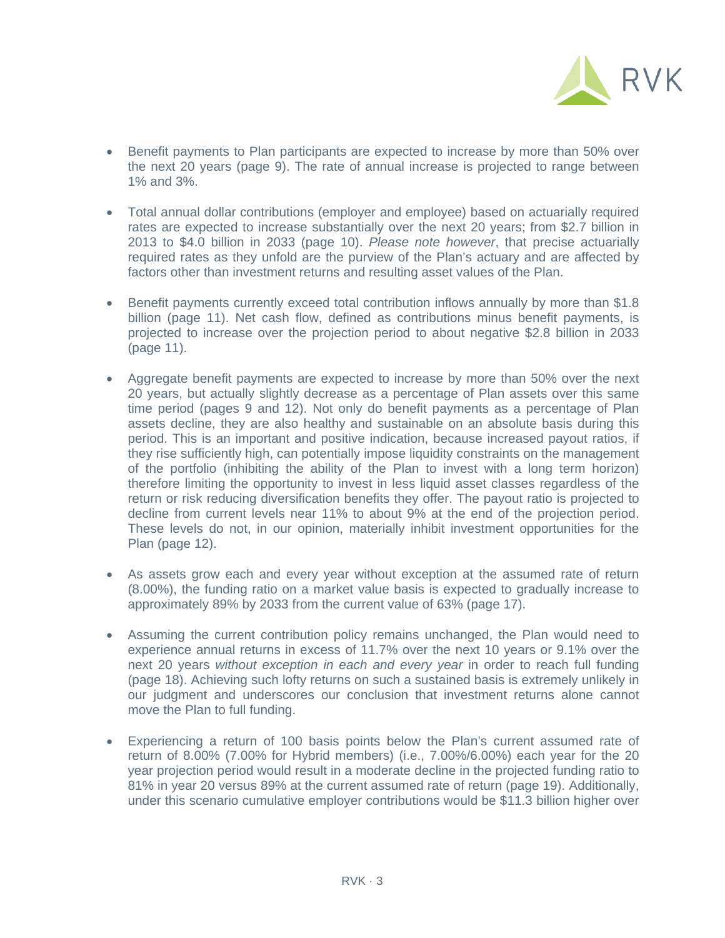

- Benefit payments to Plan participants are expected to increase by more than 50% over the next 20 years (page 9). The rate of annual increase is projected to range between 1% and 3%.
- Total annual dollar contributions (employer and employee) based on actuarially required rates are expected to increase substantially over the next 20 years; from \$2.7 billion in 2013 to \$4.0 billion in 2033 (page 10). *Please note however*, that precise actuarially required rates as they unfold are the purview of the Plan's actuary and are affected by factors other than investment returns and resulting asset values of the Plan.
- Benefit payments currently exceed total contribution inflows annually by more than \$1.8 billion (page 11). Net cash flow, defined as contributions minus benefit payments, is projected to increase over the projection period to about negative \$2.8 billion in 2033 (page 11).
- Aggregate benefit payments are expected to increase by more than 50% over the next 20 years, but actually slightly decrease as a percentage of Plan assets over this same time period (pages 9 and 12). Not only do benefit payments as a percentage of Plan assets decline, they are also healthy and sustainable on an absolute basis during this period. This is an important and positive indication, because increased payout ratios, if they rise sufficiently high, can potentially impose liquidity constraints on the management of the portfolio (inhibiting the ability of the Plan to invest with a long term horizon) therefore limiting the opportunity to invest in less liquid asset classes regardless of the return or risk reducing diversification benefits they offer. The payout ratio is projected to decline from current levels near 11% to about 9% at the end of the projection period. These levels do not, in our opinion, materially inhibit investment opportunities for the Plan (page 12).
- As assets grow each and every year without exception at the assumed rate of return (8.00%), the funding ratio on a market value basis is expected to gradually increase to approximately 89% by 2033 from the current value of 63% (page 17).
- Assuming the current contribution policy remains unchanged, the Plan would need to experience annual returns in excess of 11.7% over the next 10 years or 9.1% over the next 20 years *without exception in each and every year* in order to reach full funding (page 18). Achieving such lofty returns on such a sustained basis is extremely unlikely in our judgment and underscores our conclusion that investment returns alone cannot move the Plan to full funding.
- Experiencing a return of 100 basis points below the Plan's current assumed rate of return of 8.00% (7.00% for Hybrid members) (i.e., 7.00%/6.00%) each year for the 20 year projection period would result in a moderate decline in the projected funding ratio to 81% in year 20 versus 89% at the current assumed rate of return (page 19). Additionally, under this scenario cumulative employer contributions would be \$11.3 billion higher over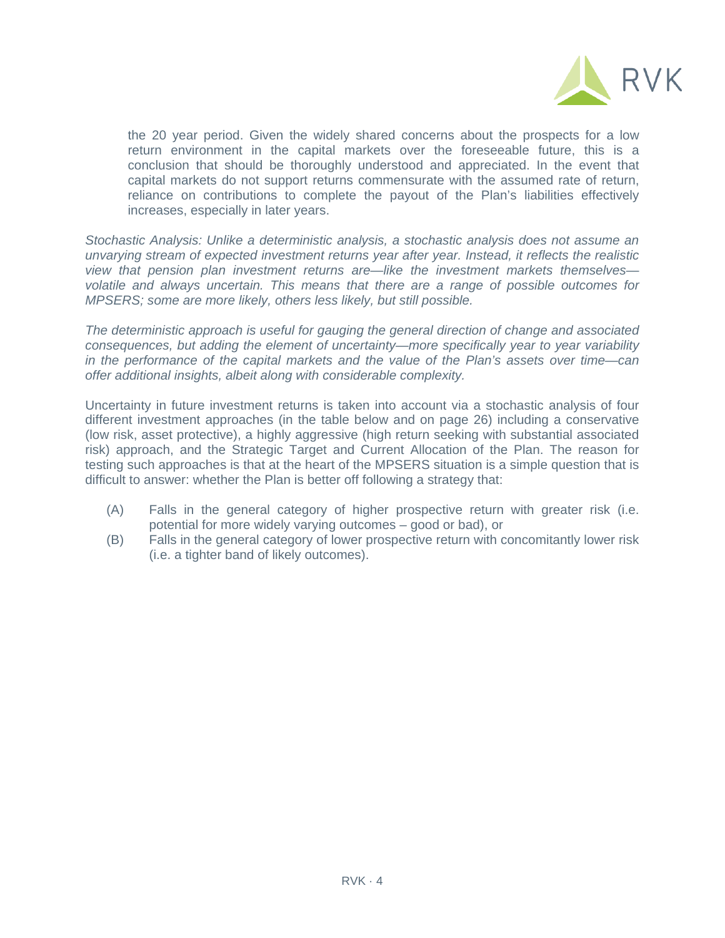

the 20 year period. Given the widely shared concerns about the prospects for a low return environment in the capital markets over the foreseeable future, this is a conclusion that should be thoroughly understood and appreciated. In the event that capital markets do not support returns commensurate with the assumed rate of return, reliance on contributions to complete the payout of the Plan's liabilities effectively increases, especially in later years.

*Stochastic Analysis: Unlike a deterministic analysis, a stochastic analysis does not assume an unvarying stream of expected investment returns year after year. Instead, it reflects the realistic view that pension plan investment returns are—like the investment markets themselves volatile and always uncertain. This means that there are a range of possible outcomes for MPSERS; some are more likely, others less likely, but still possible.* 

*The deterministic approach is useful for gauging the general direction of change and associated consequences, but adding the element of uncertainty—more specifically year to year variability in the performance of the capital markets and the value of the Plan's assets over time—can offer additional insights, albeit along with considerable complexity.* 

Uncertainty in future investment returns is taken into account via a stochastic analysis of four different investment approaches (in the table below and on page 26) including a conservative (low risk, asset protective), a highly aggressive (high return seeking with substantial associated risk) approach, and the Strategic Target and Current Allocation of the Plan. The reason for testing such approaches is that at the heart of the MPSERS situation is a simple question that is difficult to answer: whether the Plan is better off following a strategy that:

- (A) Falls in the general category of higher prospective return with greater risk (i.e. potential for more widely varying outcomes – good or bad), or
- (B) Falls in the general category of lower prospective return with concomitantly lower risk (i.e. a tighter band of likely outcomes).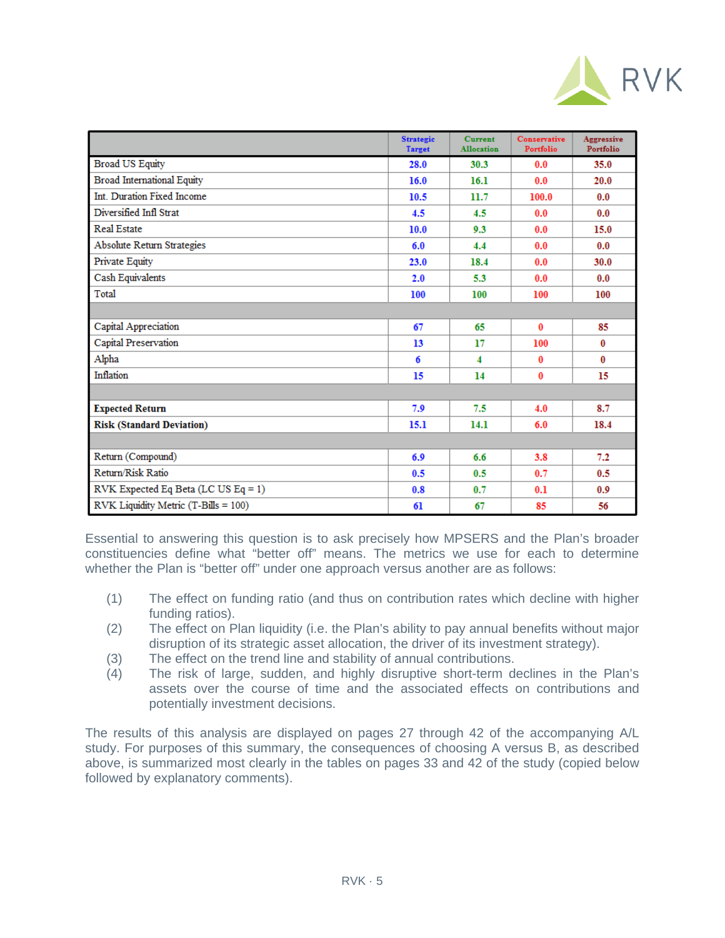

|                                      | <b>Strategic</b><br><b>Target</b> | <b>Current</b><br><b>Allocation</b> | Conservative<br>Portfolio | Aggressive<br>Portfolio |
|--------------------------------------|-----------------------------------|-------------------------------------|---------------------------|-------------------------|
| <b>Broad US Equity</b>               | 28.0                              | 30.3                                | 0.0                       | 35.0                    |
| <b>Broad International Equity</b>    | 16.0                              | 16.1                                | 0.0                       | 20.0                    |
| Int. Duration Fixed Income           | 10.5                              | 11.7                                | 100.0                     | 0.0                     |
| Diversified Infl Strat               | 4.5                               | 4.5                                 | 0.0                       | 0.0                     |
| Real Estate                          | 10.0                              | 9.3                                 | 0.0                       | 15.0                    |
| <b>Absolute Return Strategies</b>    | 6.0                               | 4.4                                 | 0.0                       | 0.0                     |
| Private Equity                       | 23.0                              | 18.4                                | 0.0                       | 30.0                    |
| Cash Equivalents                     | 2.0                               | 5.3                                 | 0.0                       | 0.0                     |
| Total                                | 100                               | 100                                 | 100                       | 100                     |
|                                      |                                   |                                     |                           |                         |
| Capital Appreciation                 | 67                                | 65                                  | 0                         | 85                      |
| Capital Preservation                 | 13                                | 17                                  | 100                       | 0                       |
| Alpha                                | 6                                 | 4                                   | 0                         | 0                       |
| Inflation                            | 15                                | 14                                  | 0                         | 15                      |
|                                      |                                   |                                     |                           |                         |
| <b>Expected Return</b>               | 7.9                               | 7.5                                 | 4.0                       | 8.7                     |
| <b>Risk (Standard Deviation)</b>     | 15.1                              | 14.1                                | 6.0                       | 18.4                    |
|                                      |                                   |                                     |                           |                         |
| Return (Compound)                    | 6.9                               | 6.6                                 | 3.8                       | 7.2                     |
| Return/Risk Ratio                    | 0.5                               | 0.5                                 | 0.7                       | 0.5                     |
| RVK Expected Eq Beta (LC US Eq = 1)  | 0.8                               | 0.7                                 | 0.1                       | 0.9                     |
| RVK Liquidity Metric (T-Bills = 100) | 61                                | 67                                  | 85                        | 56                      |

Essential to answering this question is to ask precisely how MPSERS and the Plan's broader constituencies define what "better off" means. The metrics we use for each to determine whether the Plan is "better off" under one approach versus another are as follows:

- (1) The effect on funding ratio (and thus on contribution rates which decline with higher funding ratios).
- (2) The effect on Plan liquidity (i.e. the Plan's ability to pay annual benefits without major disruption of its strategic asset allocation, the driver of its investment strategy).
- (3) The effect on the trend line and stability of annual contributions.
- (4) The risk of large, sudden, and highly disruptive short-term declines in the Plan's assets over the course of time and the associated effects on contributions and potentially investment decisions.

The results of this analysis are displayed on pages 27 through 42 of the accompanying A/L study. For purposes of this summary, the consequences of choosing A versus B, as described above, is summarized most clearly in the tables on pages 33 and 42 of the study (copied below followed by explanatory comments).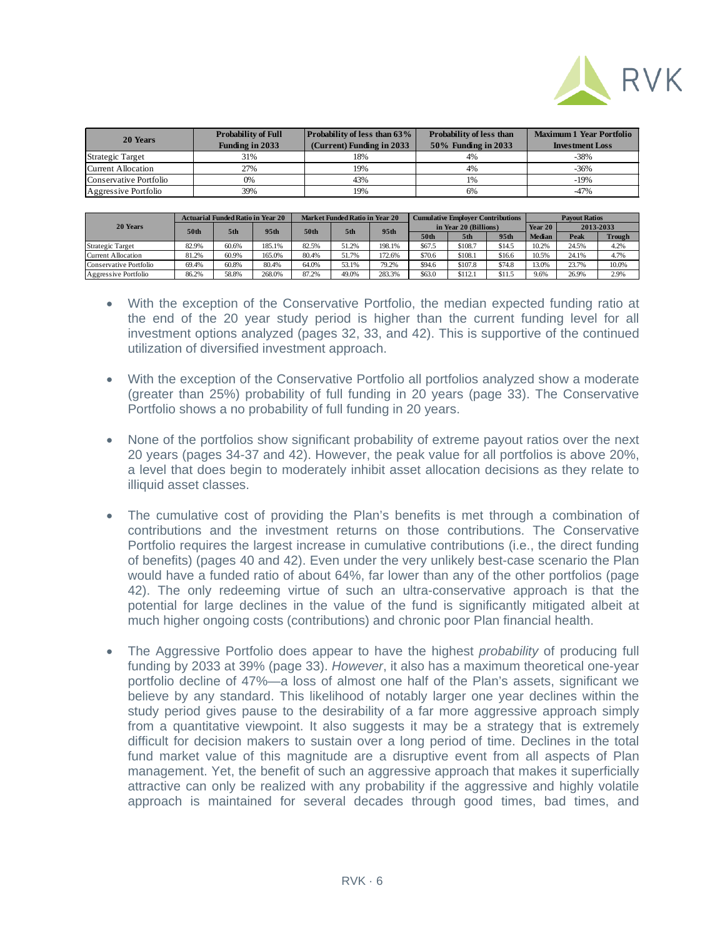

| 20 Years               | <b>Probability of Full</b> | <b>Probability of less than 63%</b> | Probability of less than | <b>Maximum 1 Year Portfolio</b> |  |  |
|------------------------|----------------------------|-------------------------------------|--------------------------|---------------------------------|--|--|
|                        | <b>Funding in 2033</b>     | (Current) Funding in 2033           | 50% Funding in 2033      | <b>Investment Loss</b>          |  |  |
| Strategic Target       | 31%                        | 18%                                 | 4%                       | $-38%$                          |  |  |
| Current Allocation     | 27%                        | 19%                                 | 4%                       | $-36\%$                         |  |  |
| Conservative Portfolio | 0%                         | 43%                                 | 1%                       | -19%                            |  |  |
| Aggressive Portfolio   | 39%                        | 19%                                 | 6%                       | $-47%$                          |  |  |

| 20 Years               | <b>Actuarial Funded Ratio in Year 20</b> |       |                  | Market Funded Ratio in Year 20 |       |                  | <b>Cumulative Employer Contributions</b> |         |        | <b>Payout Ratios</b> |           |               |
|------------------------|------------------------------------------|-------|------------------|--------------------------------|-------|------------------|------------------------------------------|---------|--------|----------------------|-----------|---------------|
|                        | 50th                                     | 5th   | 95 <sub>th</sub> | 50th                           | 5th   | 95 <sub>th</sub> | in Year 20 (Billions)                    |         |        | Year 20              | 2013-2033 |               |
|                        |                                          |       |                  |                                |       |                  | 50th                                     | 5th     | 95th   | <b>Median</b>        | Peak      | <b>Trough</b> |
| Strategic Target       | 82.9%                                    | 60.6% | 185.1%           | 82.5%                          | 51.2% | 198.1%           | \$67.5                                   | \$108.7 | \$14.5 | 10.2%                | 24.5%     | 4.2%          |
| Current Allocation     | 81.2%                                    | 60.9% | 165.0%           | 80.4%                          | 51.7% | 172.6%           | \$70.6                                   | \$108.1 | \$16.6 | 10.5%                | 24.1%     | 4.7%          |
| Conservative Portfolio | 69.4%                                    | 60.8% | 80.4%            | 64.0%                          | 53.1% | 79.2%            | \$94.6                                   | \$107.8 | \$74.8 | 13.0%                | 23.7%     | 10.0%         |
| Aggressive Portfolio   | 86.2%                                    | 58.8% | 268.0%           | 87.2%                          | 49.0% | 283.3%           | \$63.0                                   | \$112.1 | \$11.5 | 9.6%                 | 26.9%     | 2.9%          |

- With the exception of the Conservative Portfolio, the median expected funding ratio at the end of the 20 year study period is higher than the current funding level for all investment options analyzed (pages 32, 33, and 42). This is supportive of the continued utilization of diversified investment approach.
- With the exception of the Conservative Portfolio all portfolios analyzed show a moderate (greater than 25%) probability of full funding in 20 years (page 33). The Conservative Portfolio shows a no probability of full funding in 20 years.
- None of the portfolios show significant probability of extreme payout ratios over the next 20 years (pages 34-37 and 42). However, the peak value for all portfolios is above 20%, a level that does begin to moderately inhibit asset allocation decisions as they relate to illiquid asset classes.
- The cumulative cost of providing the Plan's benefits is met through a combination of contributions and the investment returns on those contributions. The Conservative Portfolio requires the largest increase in cumulative contributions (i.e., the direct funding of benefits) (pages 40 and 42). Even under the very unlikely best-case scenario the Plan would have a funded ratio of about 64%, far lower than any of the other portfolios (page 42). The only redeeming virtue of such an ultra-conservative approach is that the potential for large declines in the value of the fund is significantly mitigated albeit at much higher ongoing costs (contributions) and chronic poor Plan financial health.
- The Aggressive Portfolio does appear to have the highest *probability* of producing full funding by 2033 at 39% (page 33). *However*, it also has a maximum theoretical one-year portfolio decline of 47%—a loss of almost one half of the Plan's assets, significant we believe by any standard. This likelihood of notably larger one year declines within the study period gives pause to the desirability of a far more aggressive approach simply from a quantitative viewpoint. It also suggests it may be a strategy that is extremely difficult for decision makers to sustain over a long period of time. Declines in the total fund market value of this magnitude are a disruptive event from all aspects of Plan management. Yet, the benefit of such an aggressive approach that makes it superficially attractive can only be realized with any probability if the aggressive and highly volatile approach is maintained for several decades through good times, bad times, and